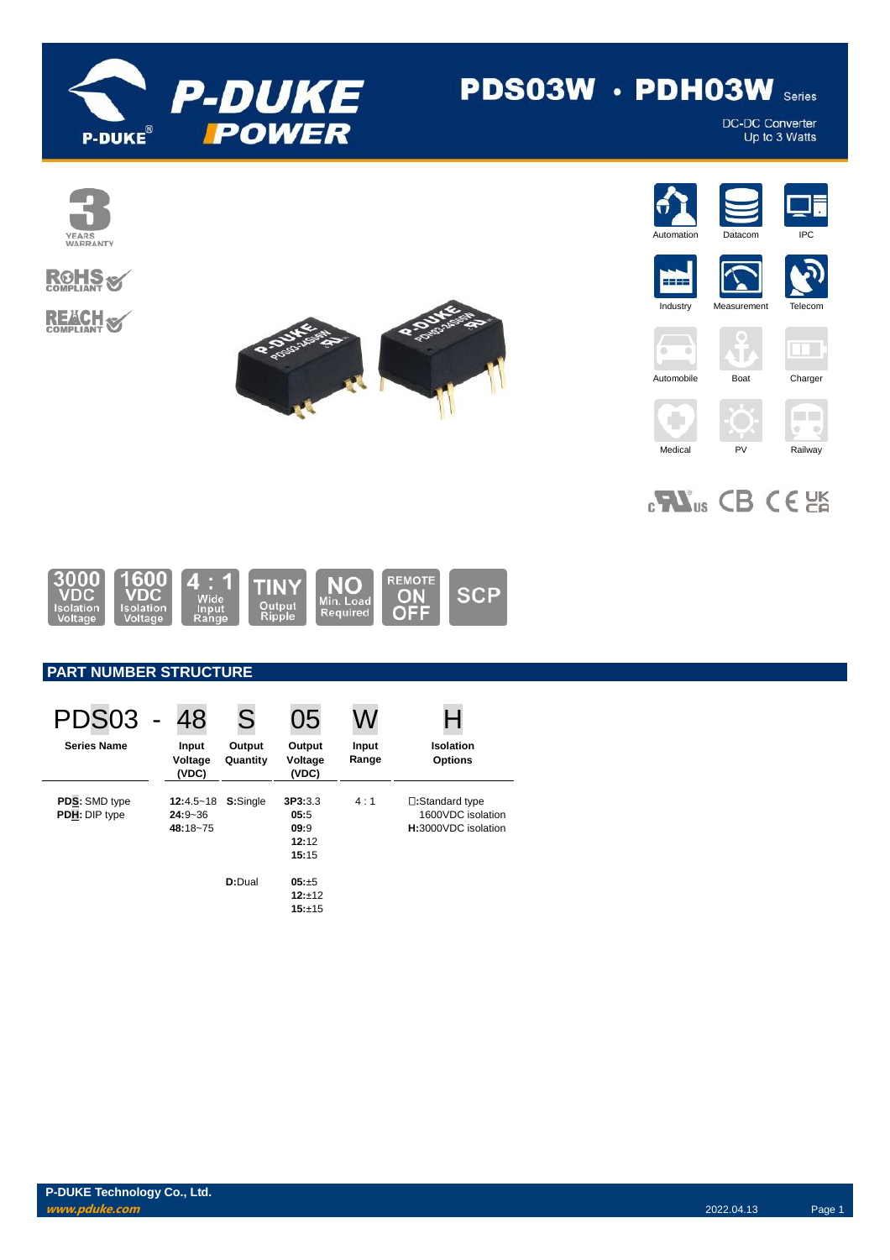

# PDS03W · PDH03W Series

DC-DC Converter<br>Up to 3 Watts























 $_{c}$ Vas CB CE



# **PART NUMBER STRUCTURE**

| PDS03                                 | 48                                       | S                  | 05                                        |                |                                                             |
|---------------------------------------|------------------------------------------|--------------------|-------------------------------------------|----------------|-------------------------------------------------------------|
| <b>Series Name</b>                    | Input<br>Voltage<br>(VDC)                | Output<br>Quantity | Output<br>Voltage<br>(VDC)                | Input<br>Range | Isolation<br><b>Options</b>                                 |
| <b>PDS:</b> SMD type<br>PDH: DIP type | $12:4.5 - 18$<br>$24:9 - 36$<br>48:18~75 | S:Single           | 3P3:3.3<br>05:5<br>09:9<br>12:12<br>15:15 | 4:1            | □:Standard type<br>1600VDC isolation<br>H:3000VDC isolation |
|                                       |                                          | D:Dual             | $05: +5$<br>$12:+12$<br>15:±15            |                |                                                             |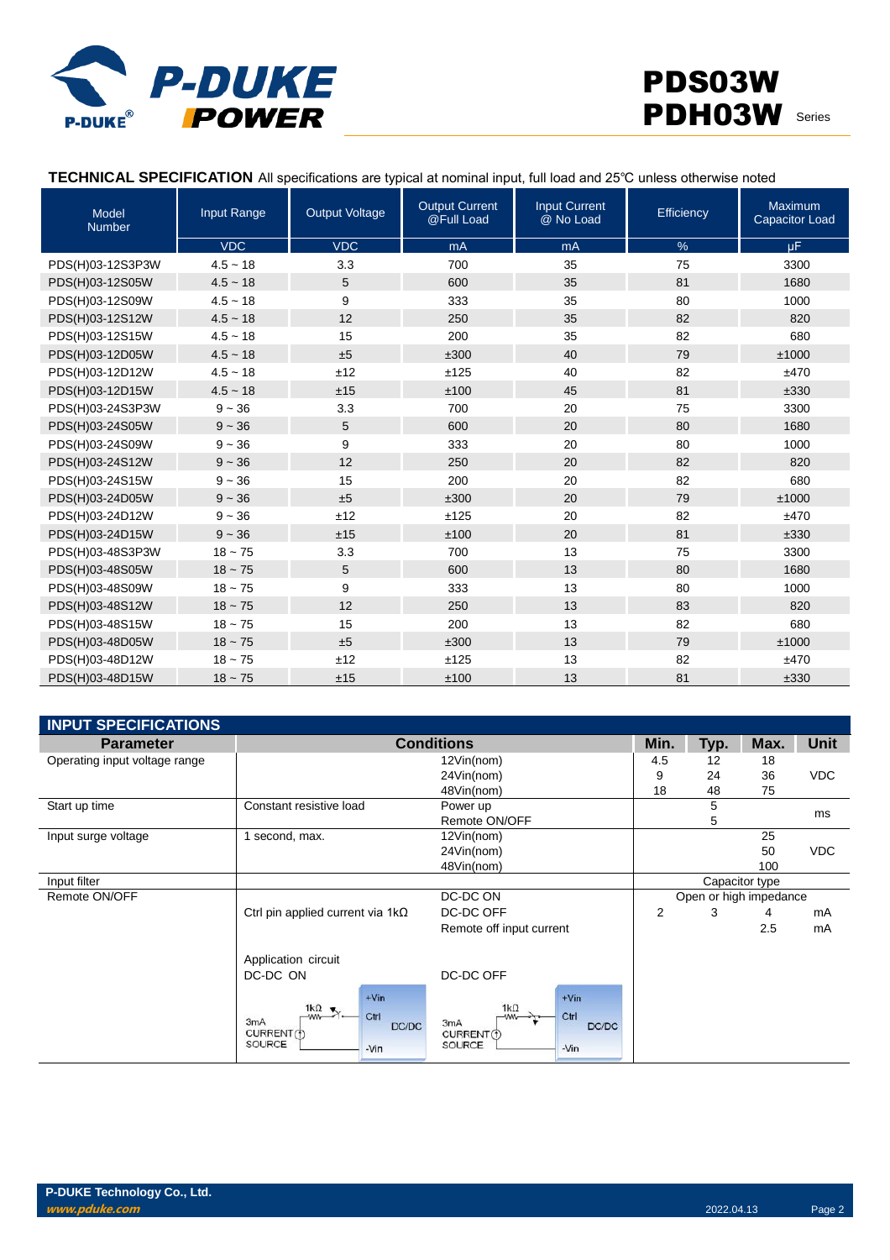

### **TECHNICAL SPECIFICATION** All specifications are typical at nominal input, full load and 25℃ unless otherwise noted

| <b>Model</b><br><b>Number</b> | Input Range | <b>Output Voltage</b> | <b>Output Current</b><br>@Full Load | <b>Input Current</b><br>@ No Load | Efficiency | <b>Maximum</b><br><b>Capacitor Load</b> |
|-------------------------------|-------------|-----------------------|-------------------------------------|-----------------------------------|------------|-----------------------------------------|
|                               | <b>VDC</b>  | <b>VDC</b>            | mA                                  | mA                                | %          | $\mu$ F                                 |
| PDS(H)03-12S3P3W              | $4.5 - 18$  | 3.3                   | 700                                 | 35                                | 75         | 3300                                    |
| PDS(H)03-12S05W               | $4.5 - 18$  | 5                     | 600                                 | 35                                | 81         | 1680                                    |
| PDS(H)03-12S09W               | $4.5 - 18$  | 9                     | 333                                 | 35                                | 80         | 1000                                    |
| PDS(H)03-12S12W               | $4.5 - 18$  | 12                    | 250                                 | 35                                | 82         | 820                                     |
| PDS(H)03-12S15W               | $4.5 - 18$  | 15                    | 200                                 | 35                                | 82         | 680                                     |
| PDS(H)03-12D05W               | $4.5 - 18$  | ±5                    | ±300                                | 40                                | 79         | ±1000                                   |
| PDS(H)03-12D12W               | $4.5 - 18$  | ±12                   | ±125                                | 40                                | 82         | ±470                                    |
| PDS(H)03-12D15W               | $4.5 - 18$  | ±15                   | ±100                                | 45                                | 81         | ±330                                    |
| PDS(H)03-24S3P3W              | $9 - 36$    | 3.3                   | 700                                 | 20                                | 75         | 3300                                    |
| PDS(H)03-24S05W               | $9 - 36$    | 5                     | 600                                 | 20                                | 80         | 1680                                    |
| PDS(H)03-24S09W               | $9 - 36$    | 9                     | 333                                 | 20                                | 80         | 1000                                    |
| PDS(H)03-24S12W               | $9 - 36$    | 12                    | 250                                 | 20                                | 82         | 820                                     |
| PDS(H)03-24S15W               | $9 - 36$    | 15                    | 200                                 | 20                                | 82         | 680                                     |
| PDS(H)03-24D05W               | $9 - 36$    | ±5                    | ±300                                | 20                                | 79         | ±1000                                   |
| PDS(H)03-24D12W               | $9 - 36$    | ±12                   | ±125                                | 20                                | 82         | ±470                                    |
| PDS(H)03-24D15W               | $9 - 36$    | ±15                   | ±100                                | 20                                | 81         | ±330                                    |
| PDS(H)03-48S3P3W              | $18 - 75$   | 3.3                   | 700                                 | 13                                | 75         | 3300                                    |
| PDS(H)03-48S05W               | $18 - 75$   | 5                     | 600                                 | 13                                | 80         | 1680                                    |
| PDS(H)03-48S09W               | $18 - 75$   | 9                     | 333                                 | 13                                | 80         | 1000                                    |
| PDS(H)03-48S12W               | $18 - 75$   | 12                    | 250                                 | 13                                | 83         | 820                                     |
| PDS(H)03-48S15W               | $18 - 75$   | 15                    | 200                                 | 13                                | 82         | 680                                     |
| PDS(H)03-48D05W               | $18 - 75$   | ±5                    | ±300                                | 13                                | 79         | ±1000                                   |
| PDS(H)03-48D12W               | $18 - 75$   | ±12                   | ±125                                | 13                                | 82         | ±470                                    |
| PDS(H)03-48D15W               | $18 - 75$   | ±15                   | ±100                                | 13                                | 81         | ±330                                    |

| <b>INPUT SPECIFICATIONS</b>   |                                                                                                            |                                                                                  |                |      |                        |             |
|-------------------------------|------------------------------------------------------------------------------------------------------------|----------------------------------------------------------------------------------|----------------|------|------------------------|-------------|
| <b>Parameter</b>              |                                                                                                            | <b>Conditions</b>                                                                | Min.           | Typ. | Max.                   | <b>Unit</b> |
| Operating input voltage range | 12Vin(nom)                                                                                                 |                                                                                  | 4.5            | 12   | 18                     |             |
|                               |                                                                                                            | 24Vin(nom)                                                                       | 9              | 24   | 36                     | <b>VDC</b>  |
|                               |                                                                                                            | 48Vin(nom)                                                                       | 18             | 48   | 75                     |             |
| Start up time                 | Constant resistive load                                                                                    | Power up                                                                         |                | 5    |                        | ms          |
|                               |                                                                                                            | Remote ON/OFF                                                                    |                | 5    |                        |             |
| Input surge voltage           | second, max.                                                                                               | 12Vin(nom)                                                                       |                |      | 25                     |             |
|                               |                                                                                                            | 24Vin(nom)                                                                       |                |      | 50                     | <b>VDC</b>  |
|                               |                                                                                                            | 48Vin(nom)                                                                       |                |      | 100                    |             |
| Input filter                  |                                                                                                            |                                                                                  |                |      | Capacitor type         |             |
| Remote ON/OFF                 |                                                                                                            | DC-DC ON                                                                         |                |      | Open or high impedance |             |
|                               | Ctrl pin applied current via $1k\Omega$                                                                    | DC-DC OFF                                                                        | $\overline{2}$ | 3    | 4                      | mA          |
|                               |                                                                                                            | Remote off input current                                                         |                |      | 2.5                    | mA          |
|                               | Application circuit<br>DC-DC ON<br>$+V$ in<br>$\frac{1k\Omega}{2}$ .<br>Ctrl<br>3mA<br>DC/DC<br>CURRENT(f) | DC-DC OFF<br>$+V$ in<br>$1k\Omega$<br>Ctrl<br>-ww-<br>3mA<br>DC/DC<br>CURRENT(1) |                |      |                        |             |
|                               | SOURCE<br>$-Vin$                                                                                           | SOURCE<br>$-Vin$                                                                 |                |      |                        |             |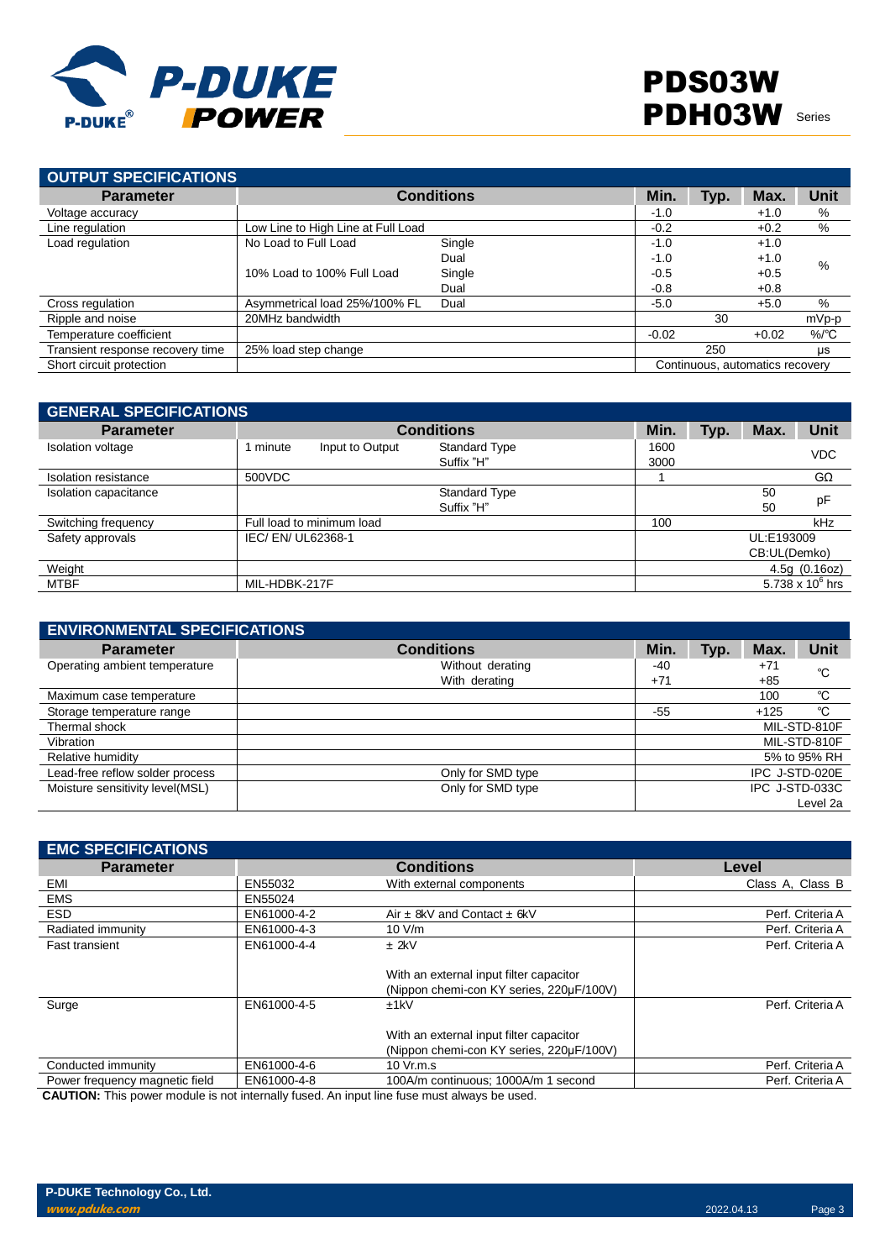

| OUTPUT SPECIFICATIONS            |                                    |                   |         |      |                                 |                    |
|----------------------------------|------------------------------------|-------------------|---------|------|---------------------------------|--------------------|
| <b>Parameter</b>                 |                                    | <b>Conditions</b> | Min.    | Typ. | Max.                            | <b>Unit</b>        |
| Voltage accuracy                 |                                    |                   | $-1.0$  |      | $+1.0$                          | %                  |
| Line regulation                  | Low Line to High Line at Full Load |                   | $-0.2$  |      | $+0.2$                          | %                  |
| Load regulation                  | No Load to Full Load               | Single            | $-1.0$  |      | $+1.0$                          |                    |
|                                  |                                    | Dual              | $-1.0$  |      | $+1.0$                          | %                  |
|                                  | 10% Load to 100% Full Load         | Single            | $-0.5$  |      | $+0.5$                          |                    |
|                                  |                                    | Dual              | $-0.8$  |      | $+0.8$                          |                    |
| Cross regulation                 | Asymmetrical load 25%/100% FL      | Dual              | $-5.0$  |      | $+5.0$                          | %                  |
| Ripple and noise                 | 20MHz bandwidth                    |                   |         | 30   |                                 | mVp-p              |
| Temperature coefficient          |                                    |                   | $-0.02$ |      | $+0.02$                         | $%$ <sup>o</sup> C |
| Transient response recovery time | 25% load step change               |                   |         | 250  |                                 | μs                 |
| Short circuit protection         |                                    |                   |         |      | Continuous, automatics recovery |                    |

| <b>GENERAL SPECIFICATIONS</b> |                             |                                    |              |      |              |                    |
|-------------------------------|-----------------------------|------------------------------------|--------------|------|--------------|--------------------|
| <b>Parameter</b>              |                             | <b>Conditions</b>                  | Min.         | Typ. | Max.         | Unit               |
| Isolation voltage             | 1 minute<br>Input to Output | <b>Standard Type</b><br>Suffix "H" | 1600<br>3000 |      |              | <b>VDC</b>         |
| Isolation resistance          | 500VDC                      |                                    |              |      |              | $G\Omega$          |
| Isolation capacitance         |                             | Standard Type                      |              |      | 50           | pF                 |
|                               |                             | Suffix "H"                         |              |      | 50           |                    |
| Switching frequency           | Full load to minimum load   |                                    | 100          |      |              | kHz                |
| Safety approvals              | IEC/ EN/ UL62368-1          |                                    |              |      | UL:E193009   |                    |
|                               |                             |                                    |              |      | CB:UL(Demko) |                    |
| Weight                        |                             |                                    |              |      |              | 4.5g(0.16oz)       |
| MTBF                          | MIL-HDBK-217F               |                                    |              |      |              | 5.738 x $10^6$ hrs |

| <b>ENVIRONMENTAL SPECIFICATIONS</b> |                   |       |      |        |                |
|-------------------------------------|-------------------|-------|------|--------|----------------|
| <b>Parameter</b>                    | <b>Conditions</b> | Min.  | Typ. | Max.   | <b>Unit</b>    |
| Operating ambient temperature       | Without derating  | -40   |      | $+71$  | °C             |
|                                     | With derating     | $+71$ |      | $+85$  |                |
| Maximum case temperature            |                   |       |      | 100    | °C             |
| Storage temperature range           |                   | $-55$ |      | $+125$ | °C             |
| Thermal shock                       |                   |       |      |        | MIL-STD-810F   |
| Vibration                           |                   |       |      |        | MIL-STD-810F   |
| Relative humidity                   |                   |       |      |        | 5% to 95% RH   |
| Lead-free reflow solder process     | Only for SMD type |       |      |        | IPC J-STD-020E |
| Moisture sensitivity level(MSL)     | Only for SMD type |       |      |        | IPC J-STD-033C |
|                                     |                   |       |      |        | Level 2a       |

| <b>EMC SPECIFICATIONS</b>      |                  |                                                                                                                                                                                                                                                                        |                  |
|--------------------------------|------------------|------------------------------------------------------------------------------------------------------------------------------------------------------------------------------------------------------------------------------------------------------------------------|------------------|
| <b>Parameter</b>               |                  | <b>Conditions</b>                                                                                                                                                                                                                                                      | Level            |
| EMI                            | EN55032          | With external components                                                                                                                                                                                                                                               | Class A, Class B |
| <b>EMS</b>                     | EN55024          |                                                                                                                                                                                                                                                                        |                  |
| <b>ESD</b>                     | EN61000-4-2      | Air $\pm$ 8kV and Contact $\pm$ 6kV                                                                                                                                                                                                                                    | Perf. Criteria A |
| Radiated immunity              | EN61000-4-3      | 10 V/m                                                                                                                                                                                                                                                                 | Perf. Criteria A |
| <b>Fast transient</b>          | EN61000-4-4      | $±$ 2kV                                                                                                                                                                                                                                                                | Perf. Criteria A |
|                                |                  | With an external input filter capacitor<br>(Nippon chemi-con KY series, 220µF/100V)                                                                                                                                                                                    |                  |
| Surge                          | EN61000-4-5      | ±1kV<br>With an external input filter capacitor                                                                                                                                                                                                                        | Perf. Criteria A |
|                                |                  | (Nippon chemi-con KY series, 220µF/100V)                                                                                                                                                                                                                               |                  |
| Conducted immunity             | EN61000-4-6      | 10 Vr.m.s                                                                                                                                                                                                                                                              | Perf. Criteria A |
| Power frequency magnetic field | EN61000-4-8<br>. | 100A/m continuous; 1000A/m 1 second<br>$\sim$ . The contract of the contract of the contract of the contract of the contract of the contract of the contract of the contract of the contract of the contract of the contract of the contract of the contract of the co | Perf. Criteria A |

**CAUTION:** This power module is not internally fused. An input line fuse must always be used.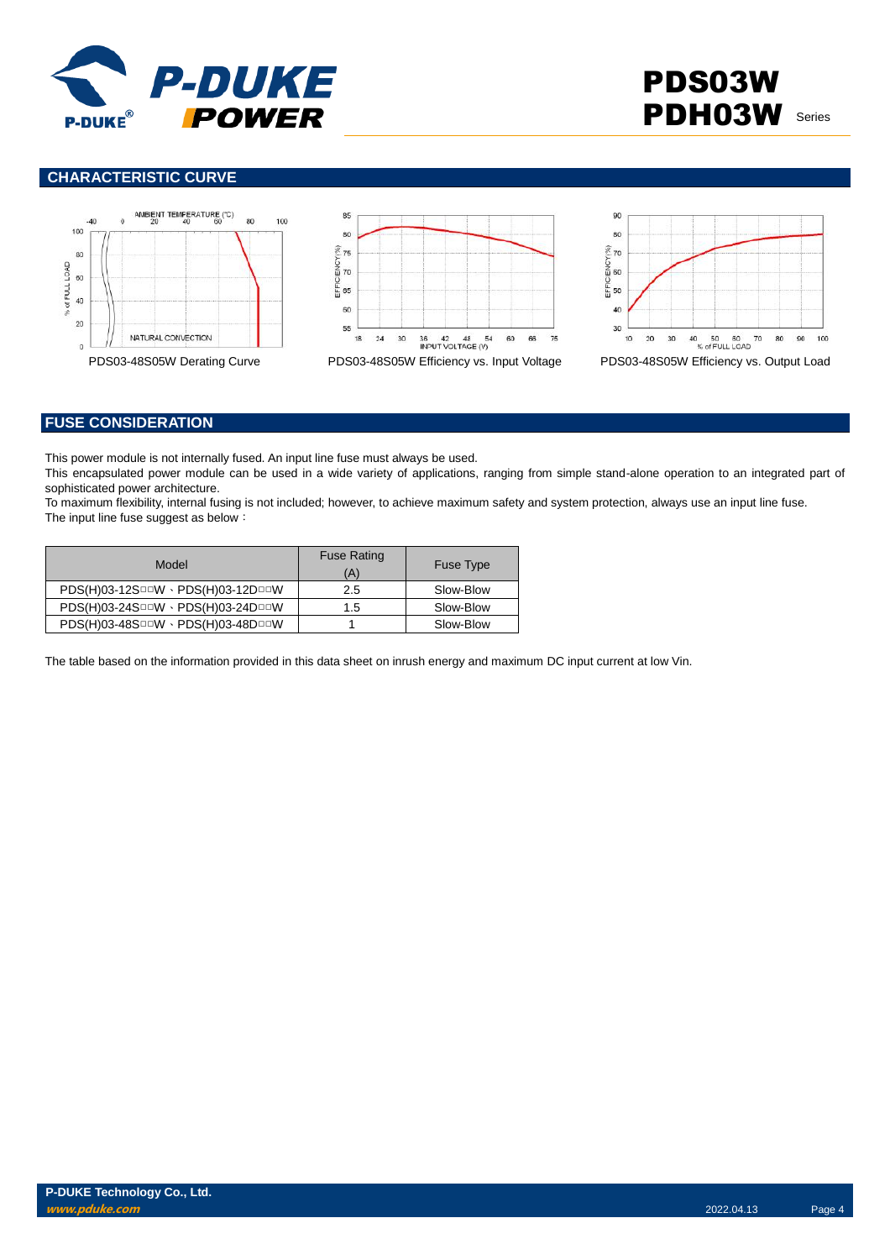

# PDS03W PDH03W Series

### **CHARACTERISTIC CURVE**







## **FUSE CONSIDERATION**

This power module is not internally fused. An input line fuse must always be used.

This encapsulated power module can be used in a wide variety of applications, ranging from simple stand-alone operation to an integrated part of sophisticated power architecture.

To maximum flexibility, internal fusing is not included; however, to achieve maximum safety and system protection, always use an input line fuse. The input line fuse suggest as below:

| Model                             | <b>Fuse Rating</b><br>(A) | <b>Fuse Type</b> |
|-----------------------------------|---------------------------|------------------|
| PDS(H)03-12SOOW · PDS(H)03-12DOOW | 2.5                       | Slow-Blow        |
| PDS(H)03-24SOOW · PDS(H)03-24DOOW | 1.5                       | Slow-Blow        |
| PDS(H)03-48SOOW · PDS(H)03-48DOOW |                           | Slow-Blow        |

The table based on the information provided in this data sheet on inrush energy and maximum DC input current at low Vin.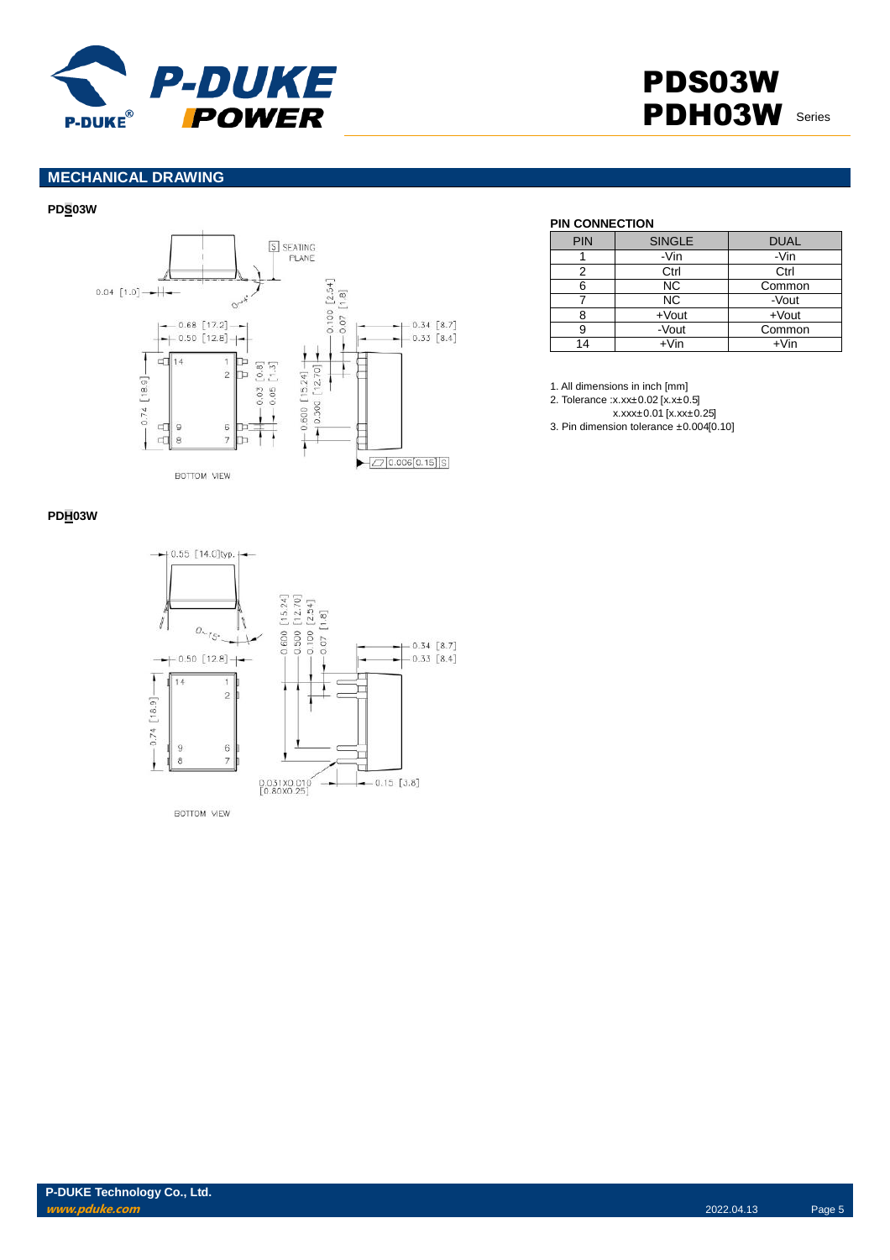

# PDS03W PDH03W Series

## **MECHANICAL DRAWING**

#### **PDS03W**



### **PIN CONNECTION**

| <b>PIN</b> | <b>SINGLE</b> | <b>DUAL</b> |
|------------|---------------|-------------|
|            | -Vin          | -Vin        |
|            | Ctrl          | Ctrl        |
| 6          | <b>NC</b>     | Common      |
|            | <b>NC</b>     | -Vout       |
|            | $+$ Vout      | $+$ Vout    |
|            | -Vout         | Common      |
| 14         | +Vin          | $+V$ in     |

1. All dimensions in inch [mm]

2. Tolerance :x.xx±0.02 [x.x±0.5]

x.xxx±0.01 [x.xx±0.25]

3. Pin dimension tolerance ±0.004[0.10]

### **PDH03W**

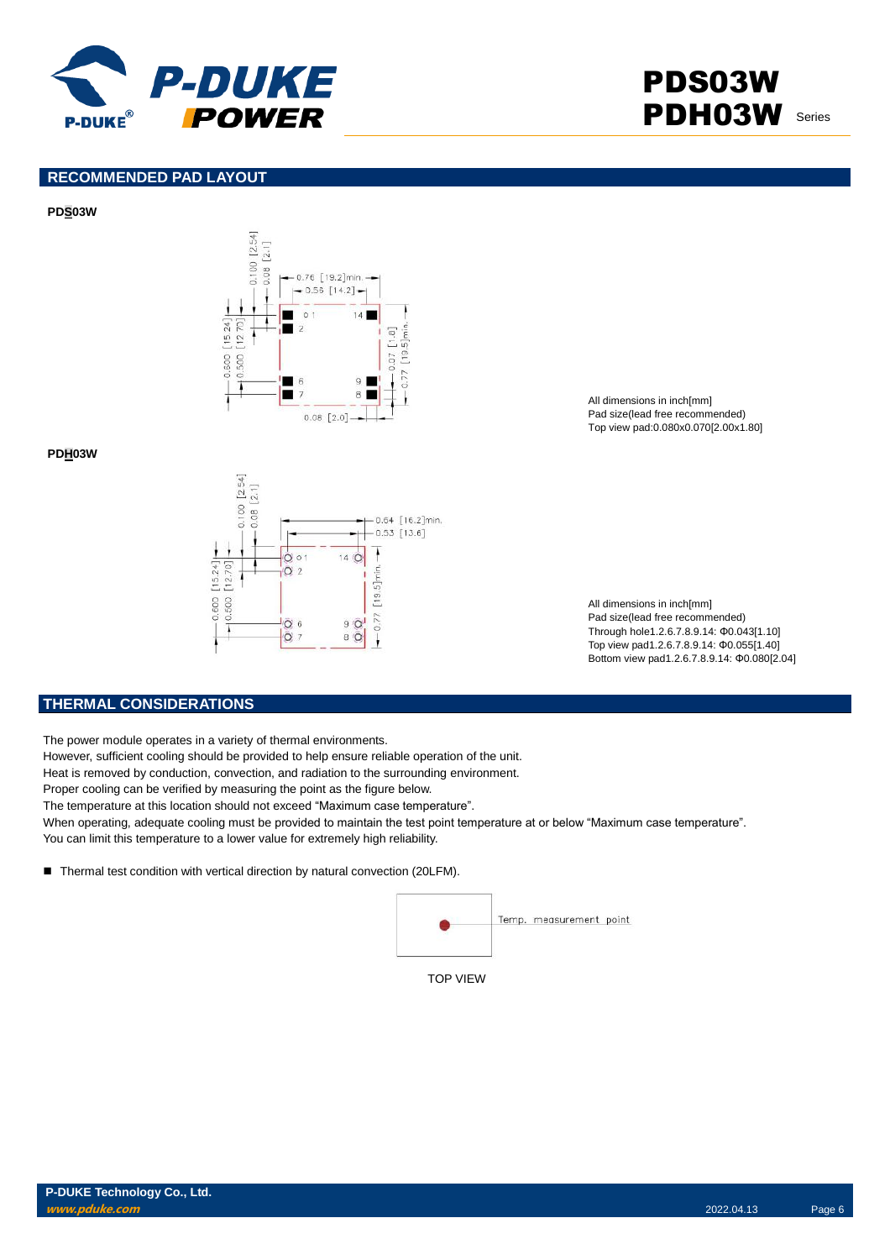

# PDS03W PDH03W Series

## **RECOMMENDED PAD LAYOUT**

#### **PDS03W**



**PDH03W**



All dimensions in inch[mm] Pad size(lead free recommended) Top view pad:0.080x0.070[2.00x1.80]

All dimensions in inch[mm] Pad size(lead free recommended) Through hole1.2.6.7.8.9.14: Φ0.043[1.10] Top view pad1.2.6.7.8.9.14: Φ0.055[1.40] Bottom view pad1.2.6.7.8.9.14: Φ0.080[2.04]

#### **THERMAL CONSIDERATIONS**

The power module operates in a variety of thermal environments.

However, sufficient cooling should be provided to help ensure reliable operation of the unit.

Heat is removed by conduction, convection, and radiation to the surrounding environment.

Proper cooling can be verified by measuring the point as the figure below.

The temperature at this location should not exceed "Maximum case temperature".

When operating, adequate cooling must be provided to maintain the test point temperature at or below "Maximum case temperature". You can limit this temperature to a lower value for extremely high reliability.

■ Thermal test condition with vertical direction by natural convection (20LFM).